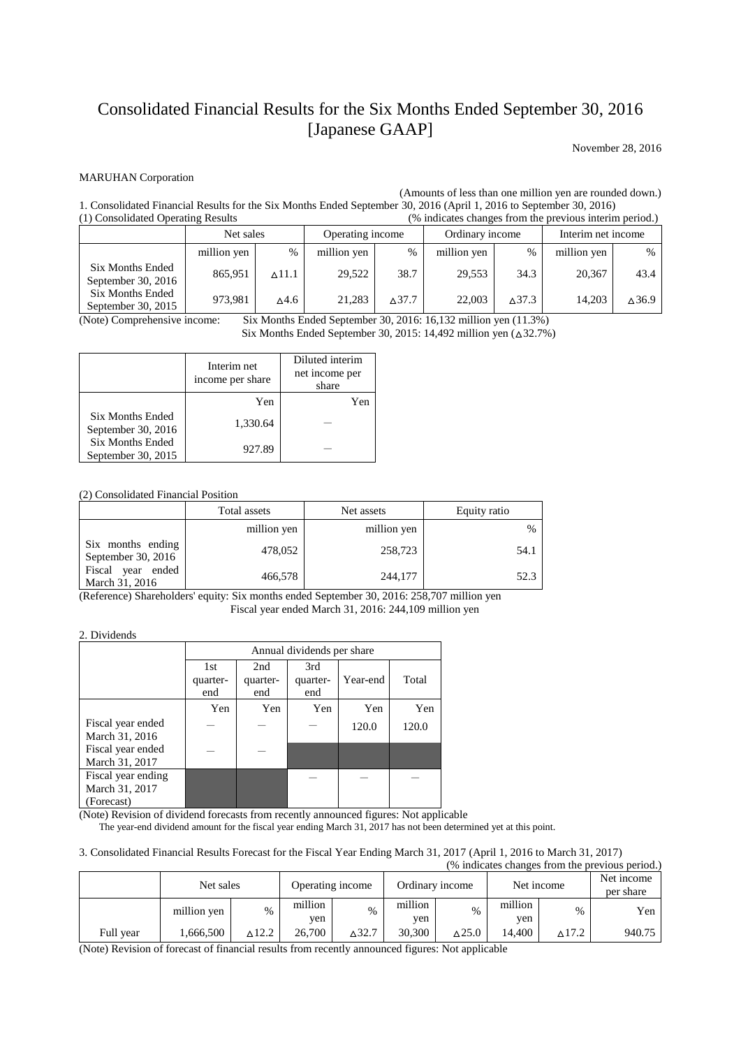# Consolidated Financial Results for the Six Months Ended September 30, 2016 [Japanese GAAP]

November 28, 2016

#### MARUHAN Corporation

(Amounts of less than one million yen are rounded down.)

1. Consolidated Financial Results for the Six Months Ended September 30, 2016 (April 1, 2016 to September 30, 2016) (1) Consolidated Operating Results (% indicates changes from the previous interim period.)

|                                          | Net sales   |               | Operating income |                  | Ordinary income |                  | Interim net income |       |
|------------------------------------------|-------------|---------------|------------------|------------------|-----------------|------------------|--------------------|-------|
|                                          | million yen | $\%$          | million yen      | $\frac{0}{0}$    | million yen     | $\%$             | million yen        | $\%$  |
| Six Months Ended<br>September 30, $2016$ | 865,951     | $\wedge$ 11.1 | 29.522           | 38.7             | 29.553          | 34.3             | 20,367             | 43.4  |
| Six Months Ended<br>September 30, 2015   | 973,981     | ∆4.б          | 21.283           | $\triangle$ 37.7 | 22,003          | $\triangle$ 37.3 | 14.203             | ∆36.9 |

(Note) Comprehensive income: Six Months Ended September 30, 2016: 16,132 million yen (11.3%)

Six Months Ended September 30, 2015: 14,492 million yen (△32.7%)

|                                               | Interim net<br>income per share | Diluted interim<br>net income per<br>share |
|-----------------------------------------------|---------------------------------|--------------------------------------------|
|                                               | Yen                             | Yen                                        |
| <b>Six Months Ended</b><br>September 30, 2016 | 1,330.64                        |                                            |
| <b>Six Months Ended</b><br>September 30, 2015 | 927.89                          |                                            |

(2) Consolidated Financial Position

|                                         | Total assets | Net assets  | Equity ratio |
|-----------------------------------------|--------------|-------------|--------------|
|                                         | million yen  | million yen | $\%$         |
| Six months ending<br>September 30, 2016 | 478,052      | 258,723     | 54.1         |
| Fiscal year ended<br>March 31, 2016     | 466,578      | 244,177     | 52.3         |

(Reference) Shareholders' equity: Six months ended September 30, 2016: 258,707 million yen Fiscal year ended March 31, 2016: 244,109 million yen

#### 2. Dividends

|                                                    | Annual dividends per share |                        |                        |          |       |  |  |
|----------------------------------------------------|----------------------------|------------------------|------------------------|----------|-------|--|--|
|                                                    | 1st<br>quarter-<br>end     | 2nd<br>quarter-<br>end | 3rd<br>quarter-<br>end | Year-end | Total |  |  |
|                                                    | Yen                        | Yen                    | Yen                    | Yen      | Yen   |  |  |
| Fiscal year ended<br>March 31, 2016                |                            |                        |                        | 120.0    | 120.0 |  |  |
| Fiscal year ended<br>March 31, 2017                |                            |                        |                        |          |       |  |  |
| Fiscal year ending<br>March 31, 2017<br>(Forecast) |                            |                        |                        |          |       |  |  |

(Note) Revision of dividend forecasts from recently announced figures: Not applicable

The year-end dividend amount for the fiscal year ending March 31, 2017 has not been determined yet at this point.

#### 3. Consolidated Financial Results Forecast for the Fiscal Year Ending March 31, 2017 (April 1, 2016 to March 31, 2017)

| (% indicates changes from the previous period.) |             |       |                |                  |                |                  |                |                  |                         |
|-------------------------------------------------|-------------|-------|----------------|------------------|----------------|------------------|----------------|------------------|-------------------------|
|                                                 | Net sales   |       |                | Operating income |                | Ordinary income  |                | Net income       | Net income<br>per share |
|                                                 | million yen | $\%$  | million<br>ven | $\%$             | million<br>yen | $\%$             | million<br>yen | $\%$             | Yen                     |
| Full year                                       | 1,666,500   | ∆12.2 | 26,700         | $\Delta$ 32.7    | 30,300         | $\triangle$ 25.0 | 14.400         | $\triangle$ 17.2 | 940.75                  |

(Note) Revision of forecast of financial results from recently announced figures: Not applicable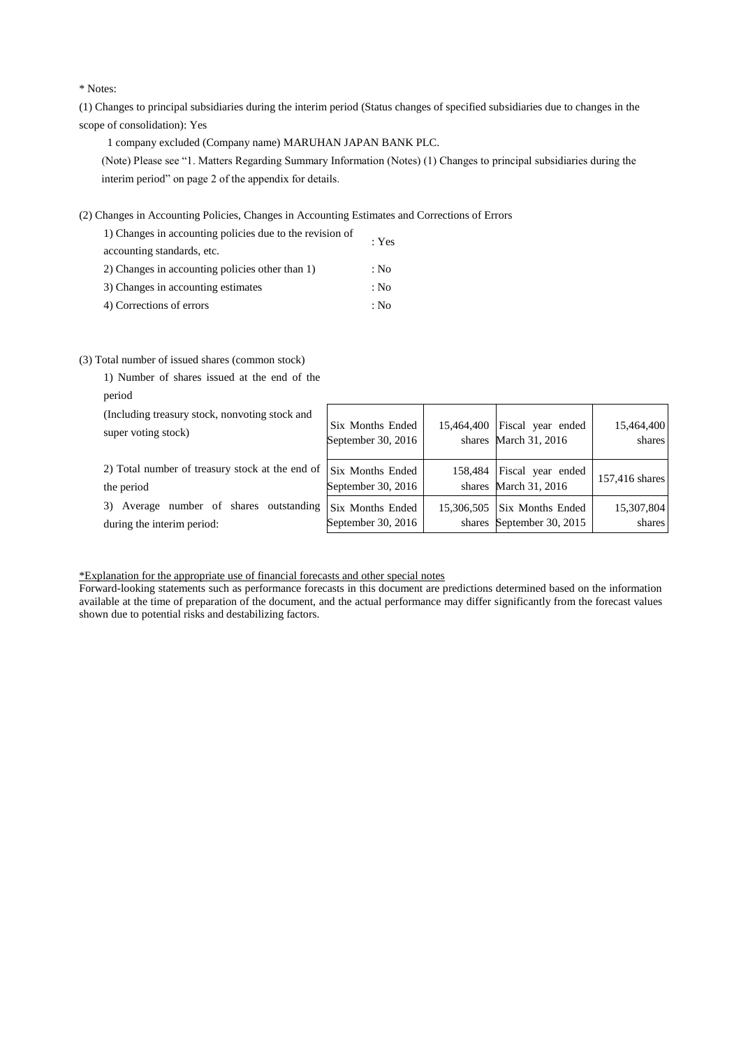\* Notes:

(1) Changes to principal subsidiaries during the interim period (Status changes of specified subsidiaries due to changes in the scope of consolidation): Yes

1 company excluded (Company name) MARUHAN JAPAN BANK PLC.

 (Note) Please see "1. Matters Regarding Summary Information (Notes) (1) Changes to principal subsidiaries during the interim period" on page 2 of the appendix for details.

(2) Changes in Accounting Policies, Changes in Accounting Estimates and Corrections of Errors

| 1) Changes in accounting policies due to the revision of | : Yes |
|----------------------------------------------------------|-------|
| accounting standards, etc.                               |       |
| 2) Changes in accounting policies other than 1)          | : No  |
| 3) Changes in accounting estimates                       | : No  |
| 4) Corrections of errors                                 | : No  |

#### (3) Total number of issued shares (common stock)

| 1) Number of shares issued at the end of the                                    |                                        |            |                                                      |                      |
|---------------------------------------------------------------------------------|----------------------------------------|------------|------------------------------------------------------|----------------------|
| period<br>(Including treasury stock, nonvoting stock and<br>super voting stock) | Six Months Ended<br>September 30, 2016 | 15,464,400 | Fiscal year ended<br>shares March 31, 2016           | 15,464,400<br>shares |
| 2) Total number of treasury stock at the end of<br>the period                   | Six Months Ended<br>September 30, 2016 | 158,484    | Fiscal year ended<br>shares March 31, 2016           | 157,416 shares       |
| Average number of shares outstanding<br>3)<br>during the interim period:        | Six Months Ended<br>September 30, 2016 | 15,306,505 | <b>Six Months Ended</b><br>shares September 30, 2015 | 15,307,804<br>shares |

\*Explanation for the appropriate use of financial forecasts and other special notes

Forward-looking statements such as performance forecasts in this document are predictions determined based on the information available at the time of preparation of the document, and the actual performance may differ significantly from the forecast values shown due to potential risks and destabilizing factors.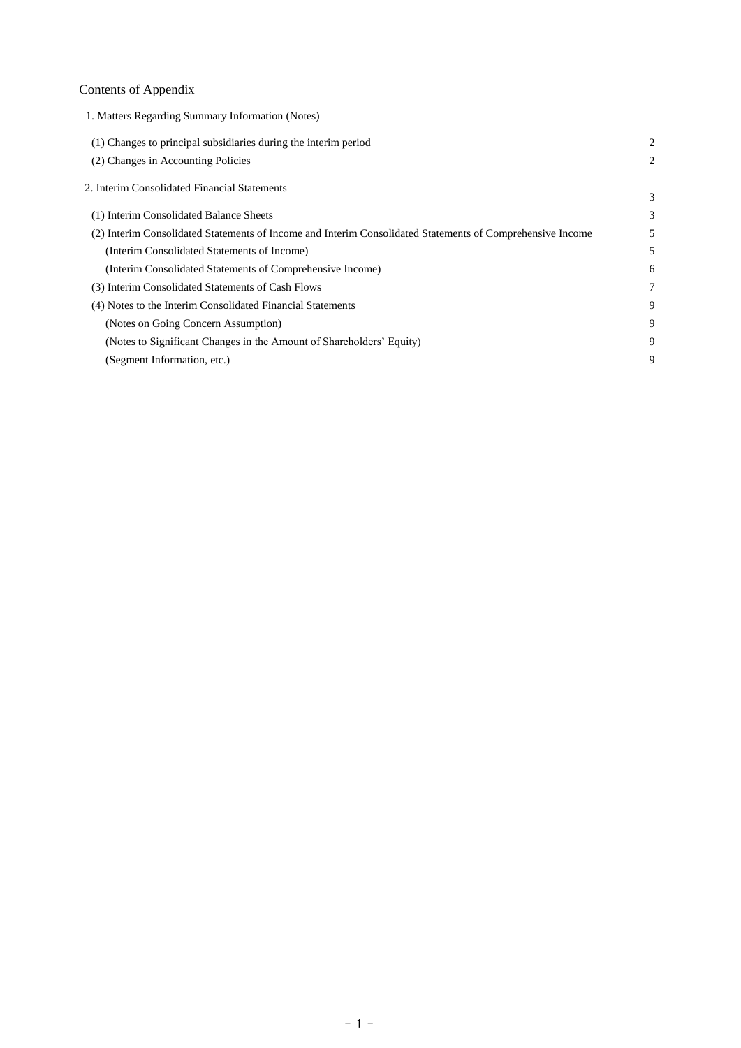## Contents of Appendix

| 1. Matters Regarding Summary Information (Notes)                                                          |   |
|-----------------------------------------------------------------------------------------------------------|---|
| (1) Changes to principal subsidiaries during the interim period                                           | 2 |
| (2) Changes in Accounting Policies                                                                        | 2 |
| 2. Interim Consolidated Financial Statements                                                              | 3 |
| (1) Interim Consolidated Balance Sheets                                                                   | 3 |
| (2) Interim Consolidated Statements of Income and Interim Consolidated Statements of Comprehensive Income | 5 |
| (Interim Consolidated Statements of Income)                                                               | 5 |
| (Interim Consolidated Statements of Comprehensive Income)                                                 | 6 |
| (3) Interim Consolidated Statements of Cash Flows                                                         | 7 |
| (4) Notes to the Interim Consolidated Financial Statements                                                | 9 |
| (Notes on Going Concern Assumption)                                                                       | 9 |
| (Notes to Significant Changes in the Amount of Shareholders' Equity)                                      | 9 |
| (Segment Information, etc.)                                                                               | 9 |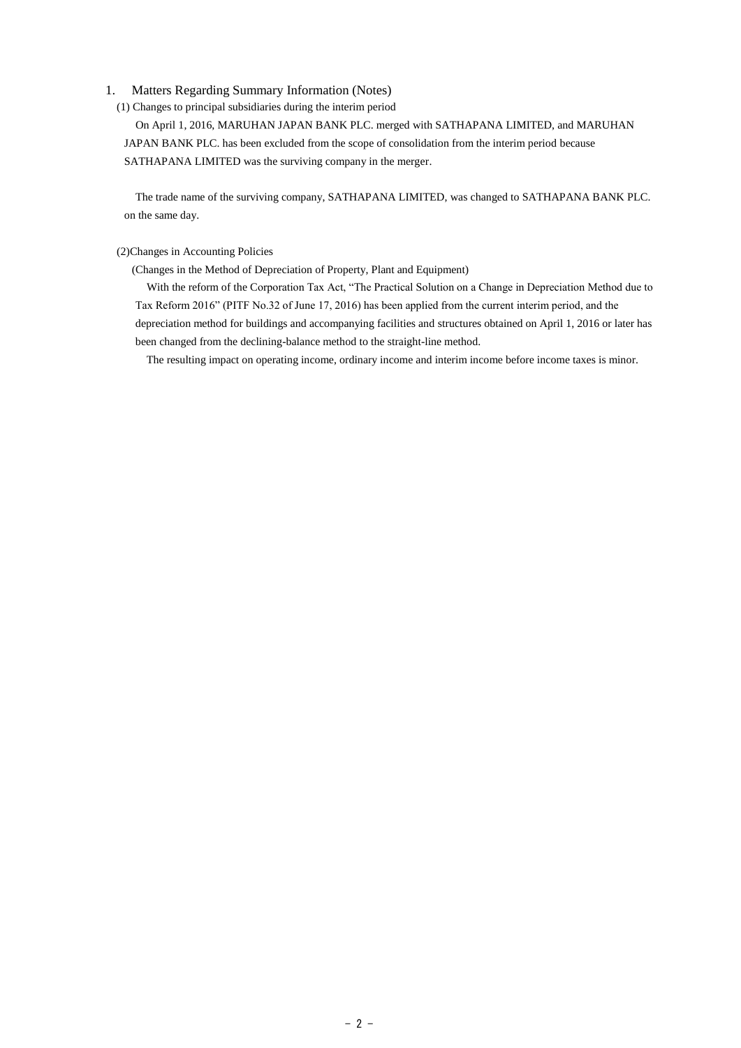#### 1. Matters Regarding Summary Information (Notes)

(1) Changes to principal subsidiaries during the interim period

 On April 1, 2016, MARUHAN JAPAN BANK PLC. merged with SATHAPANA LIMITED, and MARUHAN JAPAN BANK PLC. has been excluded from the scope of consolidation from the interim period because SATHAPANA LIMITED was the surviving company in the merger.

 The trade name of the surviving company, SATHAPANA LIMITED, was changed to SATHAPANA BANK PLC. on the same day.

#### (2)Changes in Accounting Policies

(Changes in the Method of Depreciation of Property, Plant and Equipment)

 With the reform of the Corporation Tax Act, "The Practical Solution on a Change in Depreciation Method due to Tax Reform 2016" (PITF No.32 of June 17, 2016) has been applied from the current interim period, and the depreciation method for buildings and accompanying facilities and structures obtained on April 1, 2016 or later has been changed from the declining-balance method to the straight-line method.

The resulting impact on operating income, ordinary income and interim income before income taxes is minor.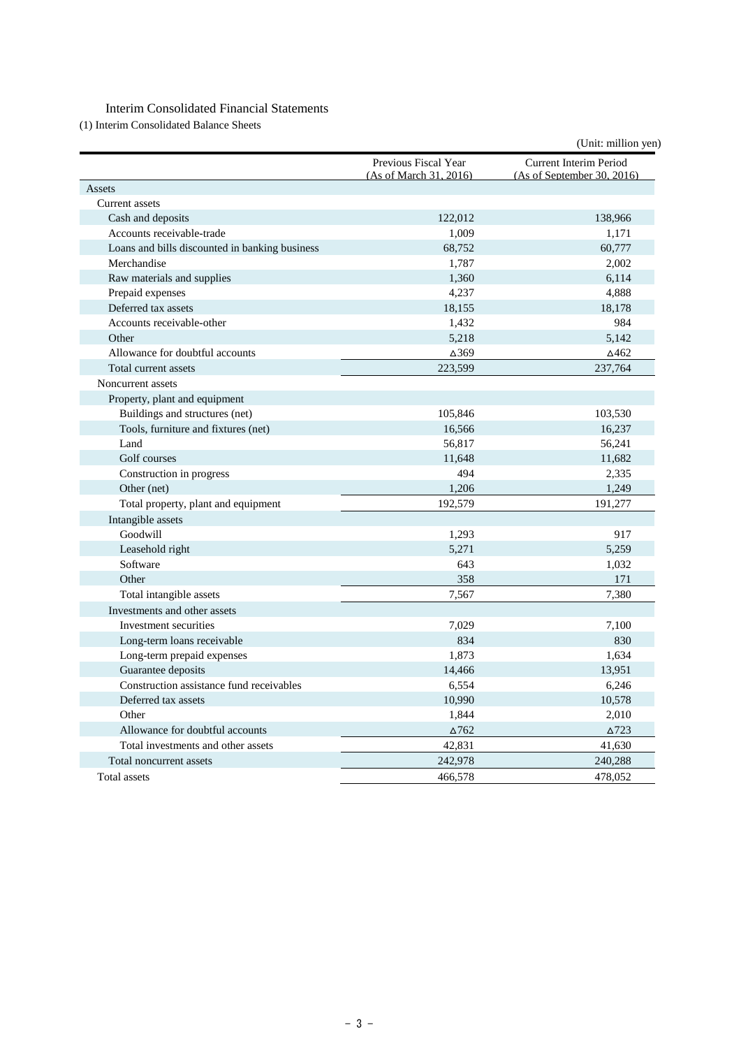### Interim Consolidated Financial Statements

(1) Interim Consolidated Balance Sheets

|                                                |                                                | (Unit: million yen)                                  |
|------------------------------------------------|------------------------------------------------|------------------------------------------------------|
|                                                | Previous Fiscal Year<br>(As of March 31, 2016) | Current Interim Period<br>(As of September 30, 2016) |
| Assets                                         |                                                |                                                      |
| <b>Current</b> assets                          |                                                |                                                      |
| Cash and deposits                              | 122,012                                        | 138,966                                              |
| Accounts receivable-trade                      | 1,009                                          | 1,171                                                |
| Loans and bills discounted in banking business | 68,752                                         | 60,777                                               |
| Merchandise                                    | 1,787                                          | 2,002                                                |
| Raw materials and supplies                     | 1,360                                          | 6,114                                                |
| Prepaid expenses                               | 4,237                                          | 4,888                                                |
| Deferred tax assets                            | 18,155                                         | 18,178                                               |
| Accounts receivable-other                      | 1,432                                          | 984                                                  |
| Other                                          | 5,218                                          | 5,142                                                |
| Allowance for doubtful accounts                | ∆369                                           | ∆462                                                 |
| Total current assets                           | 223,599                                        | 237,764                                              |
| Noncurrent assets                              |                                                |                                                      |
| Property, plant and equipment                  |                                                |                                                      |
| Buildings and structures (net)                 | 105,846                                        | 103,530                                              |
| Tools, furniture and fixtures (net)            | 16,566                                         | 16,237                                               |
| Land                                           | 56,817                                         | 56,241                                               |
| Golf courses                                   | 11,648                                         | 11,682                                               |
| Construction in progress                       | 494                                            | 2,335                                                |
| Other (net)                                    | 1,206                                          | 1,249                                                |
| Total property, plant and equipment            | 192,579                                        | 191,277                                              |
| Intangible assets                              |                                                |                                                      |
| Goodwill                                       | 1,293                                          | 917                                                  |
| Leasehold right                                | 5,271                                          | 5,259                                                |
| Software                                       | 643                                            | 1,032                                                |
| Other                                          | 358                                            | 171                                                  |
| Total intangible assets                        | 7,567                                          | 7,380                                                |
| Investments and other assets                   |                                                |                                                      |
| Investment securities                          | 7,029                                          | 7,100                                                |
| Long-term loans receivable                     | 834                                            | 830                                                  |
| Long-term prepaid expenses                     | 1,873                                          | 1,634                                                |
| Guarantee deposits                             | 14,466                                         | 13,951                                               |
| Construction assistance fund receivables       | 6,554                                          | 6,246                                                |
| Deferred tax assets                            | 10,990                                         | 10,578                                               |
| Other                                          | 1,844                                          | 2,010                                                |
| Allowance for doubtful accounts                | $\Delta$ 762                                   | $\triangle$ 723                                      |
| Total investments and other assets             | 42,831                                         | 41,630                                               |
| Total noncurrent assets                        | 242,978                                        | 240,288                                              |
| Total assets                                   | 466,578                                        | 478,052                                              |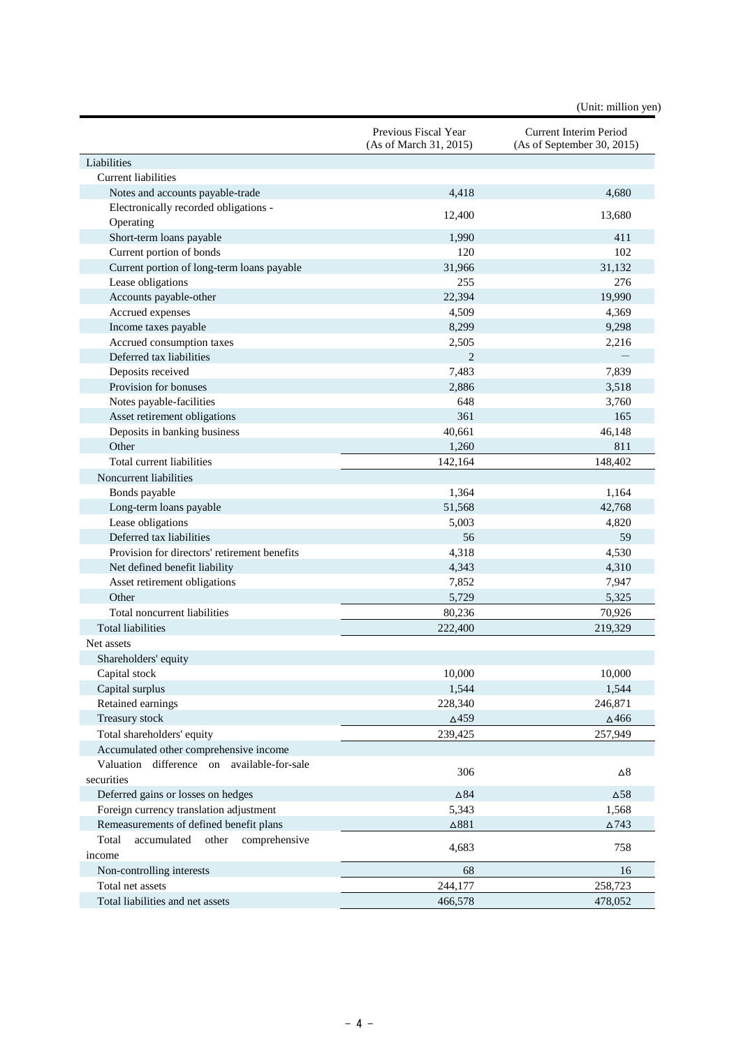(Unit: million yen)

|                                                | Previous Fiscal Year<br>(As of March 31, 2015) | Current Interim Period<br>(As of September 30, 2015) |
|------------------------------------------------|------------------------------------------------|------------------------------------------------------|
| Liabilities                                    |                                                |                                                      |
| <b>Current liabilities</b>                     |                                                |                                                      |
| Notes and accounts payable-trade               | 4,418                                          | 4,680                                                |
| Electronically recorded obligations -          |                                                |                                                      |
| Operating                                      | 12,400                                         | 13,680                                               |
| Short-term loans payable                       | 1,990                                          | 411                                                  |
| Current portion of bonds                       | 120                                            | 102                                                  |
| Current portion of long-term loans payable     | 31,966                                         | 31,132                                               |
| Lease obligations                              | 255                                            | 276                                                  |
| Accounts payable-other                         | 22,394                                         | 19,990                                               |
| Accrued expenses                               | 4,509                                          | 4,369                                                |
| Income taxes payable                           | 8,299                                          | 9,298                                                |
| Accrued consumption taxes                      | 2,505                                          | 2,216                                                |
| Deferred tax liabilities                       | $\overline{2}$                                 |                                                      |
| Deposits received                              | 7,483                                          | 7,839                                                |
| Provision for bonuses                          | 2,886                                          | 3,518                                                |
| Notes payable-facilities                       | 648                                            | 3,760                                                |
| Asset retirement obligations                   | 361                                            | 165                                                  |
| Deposits in banking business                   | 40,661                                         | 46,148                                               |
| Other                                          | 1,260                                          | 811                                                  |
| Total current liabilities                      | 142,164                                        | 148,402                                              |
| Noncurrent liabilities                         |                                                |                                                      |
| Bonds payable                                  | 1,364                                          | 1,164                                                |
| Long-term loans payable                        | 51,568                                         | 42,768                                               |
| Lease obligations                              | 5,003                                          | 4,820                                                |
| Deferred tax liabilities                       | 56                                             | 59                                                   |
| Provision for directors' retirement benefits   | 4,318                                          | 4,530                                                |
| Net defined benefit liability                  | 4,343                                          | 4,310                                                |
| Asset retirement obligations                   | 7,852                                          | 7,947                                                |
| Other                                          | 5,729                                          | 5,325                                                |
| Total noncurrent liabilities                   | 80,236                                         | 70,926                                               |
| <b>Total liabilities</b>                       | 222,400                                        | 219,329                                              |
| Net assets                                     |                                                |                                                      |
| Shareholders' equity                           |                                                |                                                      |
| Capital stock                                  | 10,000                                         | 10,000                                               |
| Capital surplus                                | 1,544                                          | 1,544                                                |
| Retained earnings                              | 228,340                                        | 246,871                                              |
| Treasury stock                                 | $\Delta$ 459                                   | $\Delta$ 466                                         |
| Total shareholders' equity                     | 239,425                                        | 257,949                                              |
| Accumulated other comprehensive income         |                                                |                                                      |
| Valuation difference on available-for-sale     | 306                                            | $\Delta 8$                                           |
| securities                                     |                                                |                                                      |
| Deferred gains or losses on hedges             | $\Delta84$                                     | $\Delta$ 58                                          |
| Foreign currency translation adjustment        | 5,343                                          | 1,568                                                |
| Remeasurements of defined benefit plans        | $\Delta 881$                                   | $\Delta$ 743                                         |
| Total<br>accumulated<br>other<br>comprehensive | 4,683                                          | 758                                                  |
| income                                         |                                                |                                                      |
| Non-controlling interests                      | 68                                             | 16                                                   |
| Total net assets                               | 244,177                                        | 258,723                                              |
| Total liabilities and net assets               | 466,578                                        | 478,052                                              |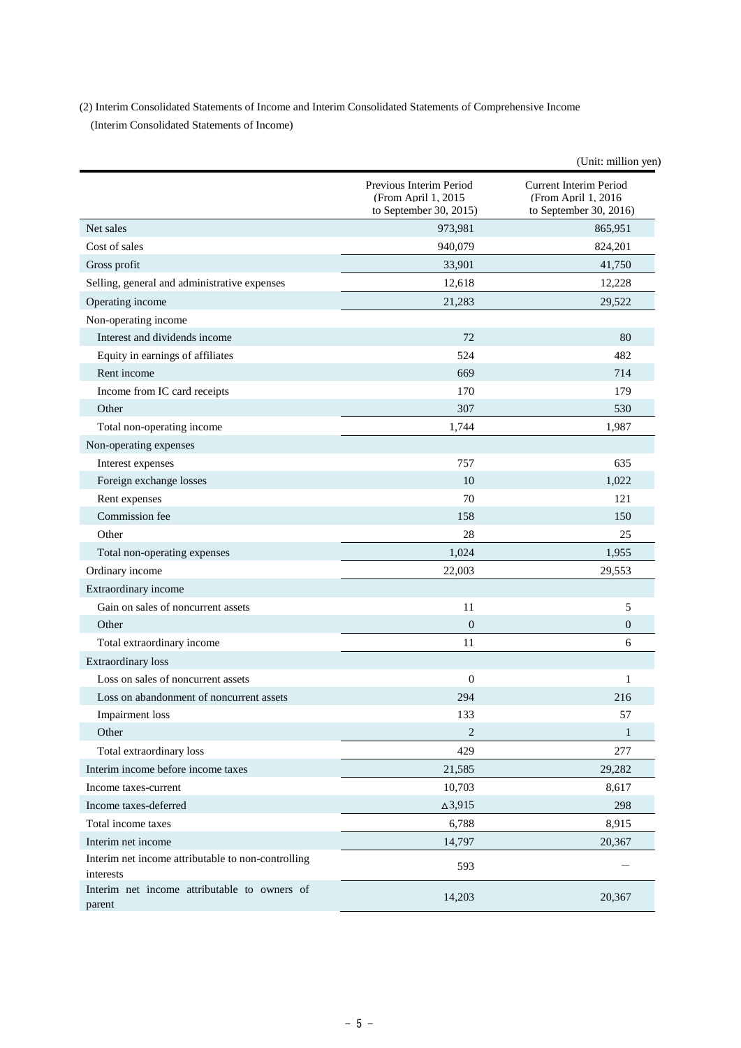(2) Interim Consolidated Statements of Income and Interim Consolidated Statements of Comprehensive Income (Interim Consolidated Statements of Income)

|                                                                 |                                                                           | (Unit: million yen)                                                             |
|-----------------------------------------------------------------|---------------------------------------------------------------------------|---------------------------------------------------------------------------------|
|                                                                 | Previous Interim Period<br>(From April 1, 2015)<br>to September 30, 2015) | <b>Current Interim Period</b><br>(From April 1, 2016)<br>to September 30, 2016) |
| Net sales                                                       | 973,981                                                                   | 865,951                                                                         |
| Cost of sales                                                   | 940,079                                                                   | 824,201                                                                         |
| Gross profit                                                    | 33,901                                                                    | 41,750                                                                          |
| Selling, general and administrative expenses                    | 12,618                                                                    | 12,228                                                                          |
| Operating income                                                | 21,283                                                                    | 29,522                                                                          |
| Non-operating income                                            |                                                                           |                                                                                 |
| Interest and dividends income                                   | 72                                                                        | 80                                                                              |
| Equity in earnings of affiliates                                | 524                                                                       | 482                                                                             |
| Rent income                                                     | 669                                                                       | 714                                                                             |
| Income from IC card receipts                                    | 170                                                                       | 179                                                                             |
| Other                                                           | 307                                                                       | 530                                                                             |
| Total non-operating income                                      | 1,744                                                                     | 1,987                                                                           |
| Non-operating expenses                                          |                                                                           |                                                                                 |
| Interest expenses                                               | 757                                                                       | 635                                                                             |
| Foreign exchange losses                                         | 10                                                                        | 1,022                                                                           |
| Rent expenses                                                   | 70                                                                        | 121                                                                             |
| Commission fee                                                  | 158                                                                       | 150                                                                             |
| Other                                                           | 28                                                                        | 25                                                                              |
| Total non-operating expenses                                    | 1,024                                                                     | 1,955                                                                           |
| Ordinary income                                                 | 22,003                                                                    | 29,553                                                                          |
| Extraordinary income                                            |                                                                           |                                                                                 |
| Gain on sales of noncurrent assets                              | 11                                                                        | 5                                                                               |
| Other                                                           | $\boldsymbol{0}$                                                          | $\overline{0}$                                                                  |
| Total extraordinary income                                      | 11                                                                        | 6                                                                               |
| <b>Extraordinary</b> loss                                       |                                                                           |                                                                                 |
| Loss on sales of noncurrent assets                              | $\boldsymbol{0}$                                                          | 1                                                                               |
| Loss on abandonment of noncurrent assets                        | 294                                                                       | 216                                                                             |
| <b>Impairment</b> loss                                          | 133                                                                       | 57                                                                              |
| Other                                                           | $\overline{2}$                                                            | 1                                                                               |
| Total extraordinary loss                                        | 429                                                                       | 277                                                                             |
| Interim income before income taxes                              | 21,585                                                                    | 29,282                                                                          |
| Income taxes-current                                            | 10,703                                                                    | 8,617                                                                           |
| Income taxes-deferred                                           | $\Delta 3.915$                                                            | 298                                                                             |
| Total income taxes                                              | 6,788                                                                     | 8,915                                                                           |
| Interim net income                                              | 14,797                                                                    | 20,367                                                                          |
| Interim net income attributable to non-controlling<br>interests | 593                                                                       |                                                                                 |
| Interim net income attributable to owners of<br>parent          | 14,203                                                                    | 20,367                                                                          |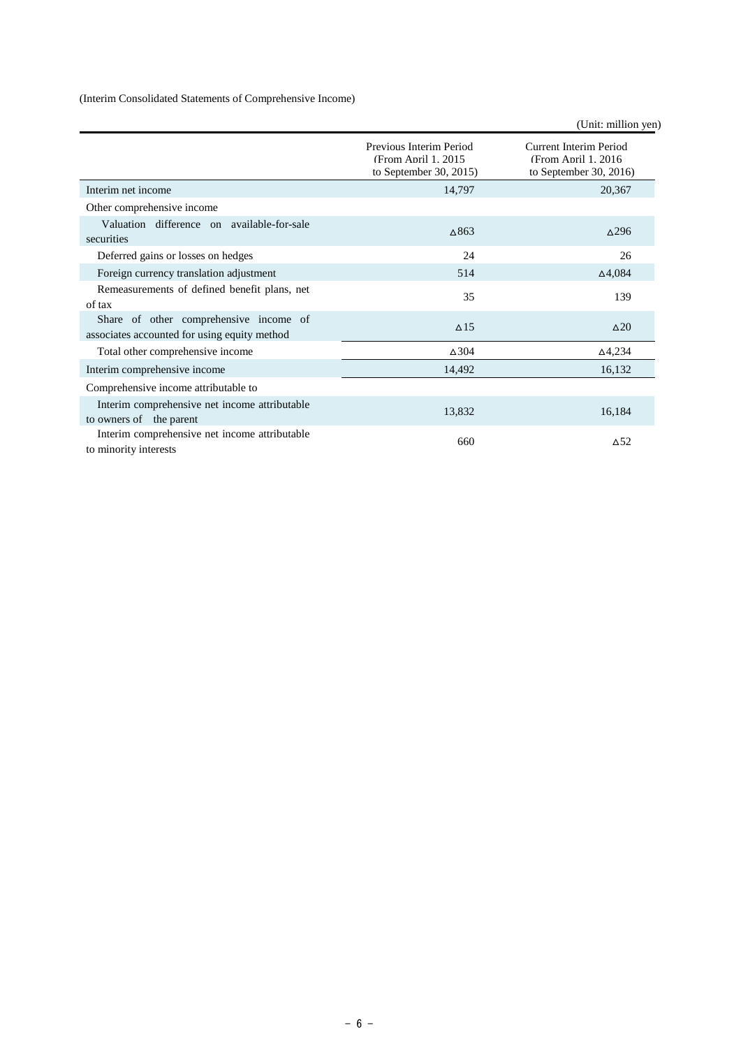(Interim Consolidated Statements of Comprehensive Income)

|                                                                                        |                                                                           | (Unit: million yen)                                                             |
|----------------------------------------------------------------------------------------|---------------------------------------------------------------------------|---------------------------------------------------------------------------------|
|                                                                                        | Previous Interim Period<br>(From April 1, 2015)<br>to September 30, 2015) | <b>Current Interim Period</b><br>(From April 1, 2016)<br>to September 30, 2016) |
| Interim net income                                                                     | 14,797                                                                    | 20,367                                                                          |
| Other comprehensive income                                                             |                                                                           |                                                                                 |
| Valuation difference on available-for-sale<br>securities                               | $\triangle$ 863                                                           | $\triangle$ 296                                                                 |
| Deferred gains or losses on hedges                                                     | 24                                                                        | 26                                                                              |
| Foreign currency translation adjustment                                                | 514                                                                       | $\Delta$ 4,084                                                                  |
| Remeasurements of defined benefit plans, net<br>of tax                                 | 35                                                                        | 139                                                                             |
| Share of other comprehensive income of<br>associates accounted for using equity method | $\Delta$ 15                                                               | $\Delta 20$                                                                     |
| Total other comprehensive income                                                       | $\Delta$ 304                                                              | $\Delta$ 4,234                                                                  |
| Interim comprehensive income                                                           | 14,492                                                                    | 16,132                                                                          |
| Comprehensive income attributable to                                                   |                                                                           |                                                                                 |
| Interim comprehensive net income attributable<br>to owners of the parent               | 13,832                                                                    | 16,184                                                                          |
| Interim comprehensive net income attributable<br>to minority interests                 | 660                                                                       | $\triangle$ <sup>52</sup>                                                       |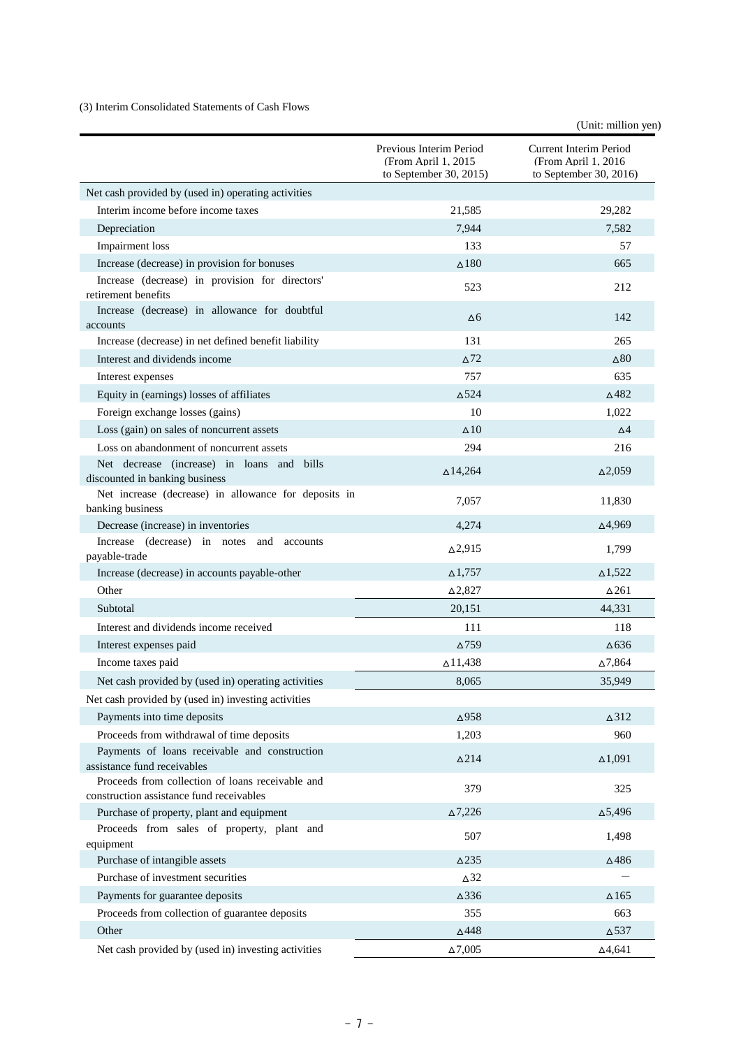#### (3) Interim Consolidated Statements of Cash Flows

(Unit: million yen)

|                                                                                              | Previous Interim Period<br>(From April 1, 2015)<br>to September 30, 2015) | Current Interim Period<br>(From April 1. 2016<br>to September 30, 2016) |
|----------------------------------------------------------------------------------------------|---------------------------------------------------------------------------|-------------------------------------------------------------------------|
| Net cash provided by (used in) operating activities                                          |                                                                           |                                                                         |
| Interim income before income taxes                                                           | 21,585                                                                    | 29,282                                                                  |
| Depreciation                                                                                 | 7,944                                                                     | 7,582                                                                   |
| Impairment loss                                                                              | 133                                                                       | 57                                                                      |
| Increase (decrease) in provision for bonuses                                                 | $\triangle$ 180                                                           | 665                                                                     |
| Increase (decrease) in provision for directors'<br>retirement benefits                       | 523                                                                       | 212                                                                     |
| Increase (decrease) in allowance for doubtful<br>accounts                                    | Δ6                                                                        | 142                                                                     |
| Increase (decrease) in net defined benefit liability                                         | 131                                                                       | 265                                                                     |
| Interest and dividends income                                                                | $\Delta$ 72                                                               | $\Delta$ 80                                                             |
| Interest expenses                                                                            | 757                                                                       | 635                                                                     |
| Equity in (earnings) losses of affiliates                                                    | $\Delta$ 524                                                              | $\triangle$ 482                                                         |
| Foreign exchange losses (gains)                                                              | 10                                                                        | 1,022                                                                   |
| Loss (gain) on sales of noncurrent assets                                                    | $\Delta$ 10                                                               | $\Delta$ 4                                                              |
| Loss on abandonment of noncurrent assets                                                     | 294                                                                       | 216                                                                     |
| Net decrease (increase) in loans and bills<br>discounted in banking business                 | $\triangle$ 14,264                                                        | $\Delta 2,059$                                                          |
| Net increase (decrease) in allowance for deposits in<br>banking business                     | 7,057                                                                     | 11,830                                                                  |
| Decrease (increase) in inventories                                                           | 4,274                                                                     | $\Delta$ 4,969                                                          |
| Increase (decrease) in notes and<br>accounts<br>payable-trade                                | $\Delta$ 2,915                                                            | 1,799                                                                   |
| Increase (decrease) in accounts payable-other                                                | $\Delta$ 1,757                                                            | $\Delta1,522$                                                           |
| Other                                                                                        | $\Delta$ 2,827                                                            | $\Delta$ 261                                                            |
| Subtotal                                                                                     | 20,151                                                                    | 44,331                                                                  |
| Interest and dividends income received                                                       | 111                                                                       | 118                                                                     |
| Interest expenses paid                                                                       | $\Delta$ 759                                                              | $\Delta$ 636                                                            |
| Income taxes paid                                                                            | $\Delta$ 11,438                                                           | $\Delta$ 7,864                                                          |
| Net cash provided by (used in) operating activities                                          | 8,065                                                                     | 35,949                                                                  |
| Net cash provided by (used in) investing activities                                          |                                                                           |                                                                         |
| Payments into time deposits                                                                  | $\Delta 958$                                                              | $\Delta$ 312                                                            |
| Proceeds from withdrawal of time deposits                                                    | 1,203                                                                     | 960                                                                     |
| Payments of loans receivable and construction<br>assistance fund receivables                 | $\Delta$ 214                                                              | $\Delta1,091$                                                           |
| Proceeds from collection of loans receivable and<br>construction assistance fund receivables | 379                                                                       | 325                                                                     |
| Purchase of property, plant and equipment                                                    | $\Delta 7,226$                                                            | $\Delta$ 5,496                                                          |
| Proceeds from sales of property, plant and<br>equipment                                      | 507                                                                       | 1,498                                                                   |
| Purchase of intangible assets                                                                | $\Delta$ 235                                                              | $\Delta$ 486                                                            |
| Purchase of investment securities                                                            | $\Delta$ 32                                                               |                                                                         |
| Payments for guarantee deposits                                                              | $\Delta 336$                                                              | $\Delta$ 165                                                            |
| Proceeds from collection of guarantee deposits                                               | 355                                                                       | 663                                                                     |
| Other                                                                                        | $\Delta 448$                                                              | $\Delta$ 537                                                            |
| Net cash provided by (used in) investing activities                                          | $\Delta 7{,}005$                                                          | $\Delta 4,641$                                                          |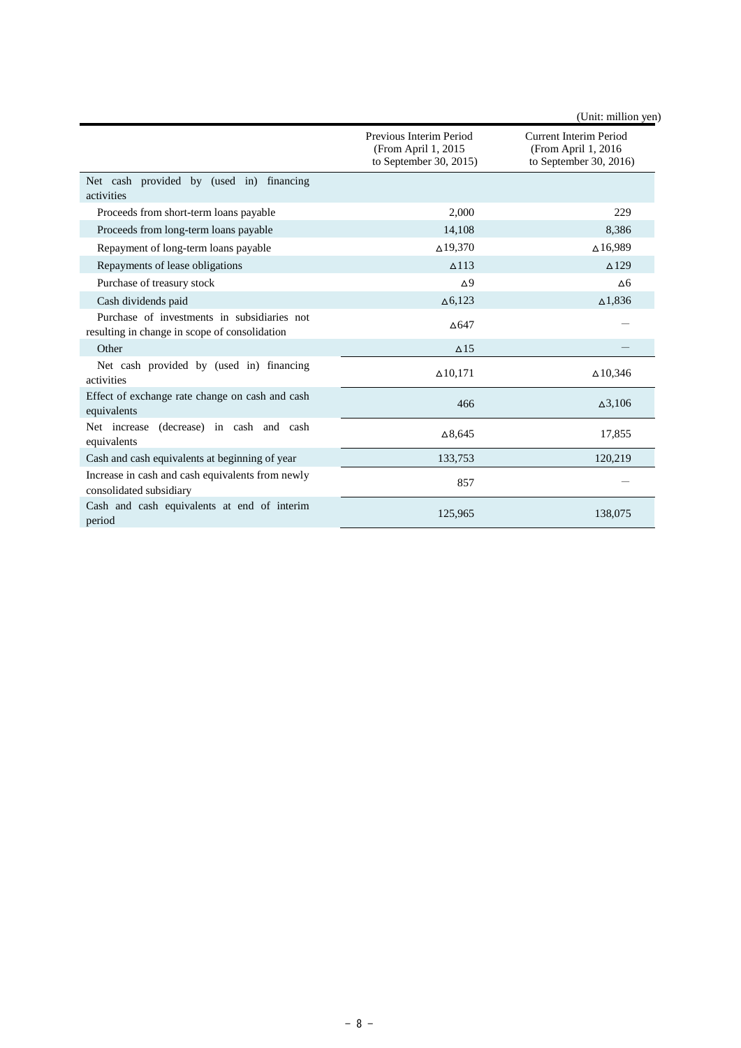|                                                                                              |                                                                          | (Unit: million yen)                                                            |
|----------------------------------------------------------------------------------------------|--------------------------------------------------------------------------|--------------------------------------------------------------------------------|
|                                                                                              | Previous Interim Period<br>(From April 1, 2015<br>to September 30, 2015) | <b>Current Interim Period</b><br>(From April 1, 2016<br>to September 30, 2016) |
| Net cash provided by (used in) financing<br>activities                                       |                                                                          |                                                                                |
| Proceeds from short-term loans payable                                                       | 2.000                                                                    | 229                                                                            |
| Proceeds from long-term loans payable                                                        | 14,108                                                                   | 8,386                                                                          |
| Repayment of long-term loans payable                                                         | $\Delta$ 19,370                                                          | $\Delta$ 16,989                                                                |
| Repayments of lease obligations                                                              | $\triangle$ 113                                                          | $\triangle$ 129                                                                |
| Purchase of treasury stock                                                                   | $\Delta$ <sup>9</sup>                                                    | $\Delta 6$                                                                     |
| Cash dividends paid                                                                          | $\Delta$ 6,123                                                           | $\Delta$ 1,836                                                                 |
| Purchase of investments in subsidiaries not<br>resulting in change in scope of consolidation | $\triangle$ 647                                                          |                                                                                |
| Other                                                                                        | $\triangle$ 15                                                           |                                                                                |
| Net cash provided by (used in) financing<br>activities                                       | $\Delta$ 10,171                                                          | $\Delta$ 10,346                                                                |
| Effect of exchange rate change on cash and cash<br>equivalents                               | 466                                                                      | $\Delta$ 3,106                                                                 |
| Net increase (decrease) in cash and cash<br>equivalents                                      | $\Delta 8,645$                                                           | 17,855                                                                         |
| Cash and cash equivalents at beginning of year                                               | 133,753                                                                  | 120,219                                                                        |
| Increase in cash and cash equivalents from newly<br>consolidated subsidiary                  | 857                                                                      |                                                                                |
| Cash and cash equivalents at end of interim<br>period                                        | 125,965                                                                  | 138,075                                                                        |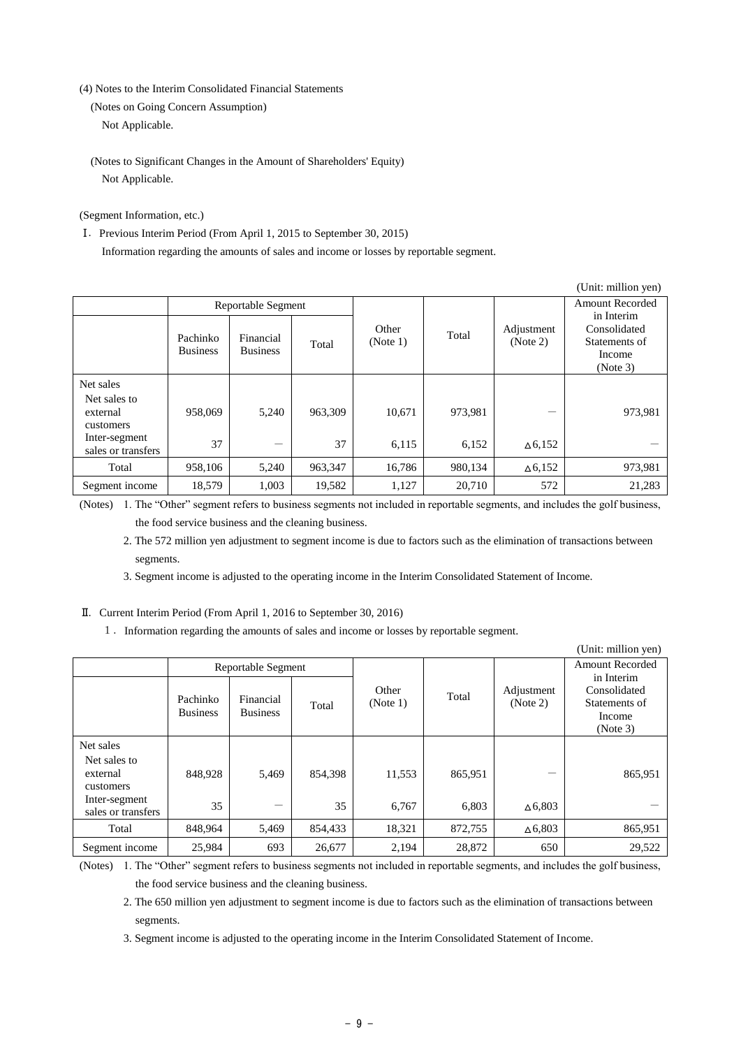(4) Notes to the Interim Consolidated Financial Statements

(Notes on Going Concern Assumption) Not Applicable.

(Notes to Significant Changes in the Amount of Shareholders' Equity) Not Applicable.

(Segment Information, etc.)

Ⅰ.Previous Interim Period (From April 1, 2015 to September 30, 2015) Information regarding the amounts of sales and income or losses by reportable segment.

|                                                                                           |                             |                              |               |                   |                  | (Unit: million yen)                  |                                                     |
|-------------------------------------------------------------------------------------------|-----------------------------|------------------------------|---------------|-------------------|------------------|--------------------------------------|-----------------------------------------------------|
|                                                                                           | Reportable Segment          |                              |               |                   |                  | <b>Amount Recorded</b><br>in Interim |                                                     |
|                                                                                           | Pachinko<br><b>Business</b> | Financial<br><b>Business</b> | Total         | Other<br>(Note 1) | Total            | Adjustment<br>(Note 2)               | Consolidated<br>Statements of<br>Income<br>(Note 3) |
| Net sales<br>Net sales to<br>external<br>customers<br>Inter-segment<br>sales or transfers | 958,069<br>37               | 5,240                        | 963.309<br>37 | 10,671<br>6,115   | 973,981<br>6,152 | –<br>$\Delta$ 6,152                  | 973,981                                             |
| Total                                                                                     | 958,106                     | 5,240                        | 963,347       | 16,786            | 980,134          | $\Delta$ 6,152                       | 973,981                                             |
| Segment income                                                                            | 18,579                      | 1,003                        | 19,582        | 1,127             | 20,710           | 572                                  | 21,283                                              |

(Notes) 1. The "Other" segment refers to business segments not included in reportable segments, and includes the golf business, the food service business and the cleaning business.

2. The 572 million yen adjustment to segment income is due to factors such as the elimination of transactions between segments.

3. Segment income is adjusted to the operating income in the Interim Consolidated Statement of Income.

#### Ⅱ.Current Interim Period (From April 1, 2016 to September 30, 2016)

1.Information regarding the amounts of sales and income or losses by reportable segment.

|                                                                                           |                             |                              |               |                   |                  |                        | (Unit: million yen)                                               |
|-------------------------------------------------------------------------------------------|-----------------------------|------------------------------|---------------|-------------------|------------------|------------------------|-------------------------------------------------------------------|
|                                                                                           |                             | Reportable Segment           |               |                   |                  |                        | <b>Amount Recorded</b>                                            |
|                                                                                           | Pachinko<br><b>Business</b> | Financial<br><b>Business</b> | Total         | Other<br>(Note 1) | Total            | Adjustment<br>(Note 2) | in Interim<br>Consolidated<br>Statements of<br>Income<br>(Note 3) |
| Net sales<br>Net sales to<br>external<br>customers<br>Inter-segment<br>sales or transfers | 848,928<br>35               | 5,469<br>—                   | 854,398<br>35 | 11,553<br>6,767   | 865,951<br>6,803 | $\Delta$ 6,803         | 865,951                                                           |
| Total                                                                                     | 848,964                     | 5,469                        | 854,433       | 18,321            | 872,755          | $\Delta$ 6,803         | 865,951                                                           |
| Segment income                                                                            | 25,984                      | 693                          | 26,677        | 2,194             | 28,872           | 650                    | 29,522                                                            |

(Notes) 1. The "Other" segment refers to business segments not included in reportable segments, and includes the golf business, the food service business and the cleaning business.

2. The 650 million yen adjustment to segment income is due to factors such as the elimination of transactions between segments.

3. Segment income is adjusted to the operating income in the Interim Consolidated Statement of Income.